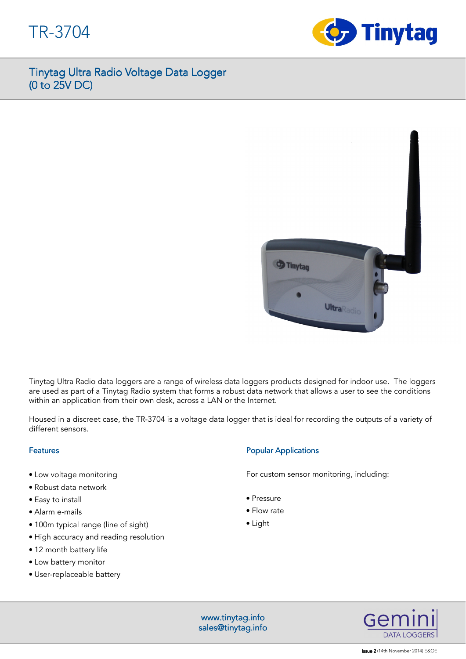



Tinytag Ultra Radio data loggers are a range of wireless data loggers products designed for indoor use. The loggers are used as part of a Tinytag Radio system that forms a robust data network that allows a user to see the conditions within an application from their own desk, across a LAN or the Internet.

Housed in a discreet case, the TR-3704 is a voltage data logger that is ideal for recording the outputs of a variety of different sensors.

## Features

- Low voltage monitoring
- Robust data network
- Easy to install
- Alarm e-mails
- 100m typical range (line of sight)
- High accuracy and reading resolution
- 12 month battery life
- Low battery monitor
- User-replaceable battery

# **Popular Applications**

For custom sensor monitoring, including:

- Pressure
- Flow rate
- Light

www.tinytag.info www.tinytag.info sales@tinytag.info



**Issue 2** (14th November 2014) E&OE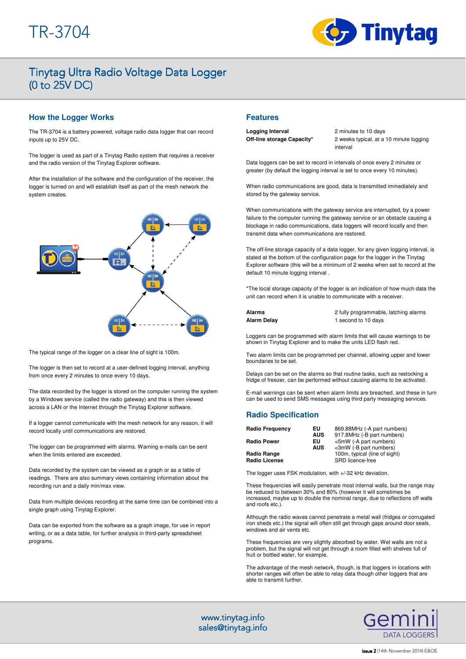

## **How the Logger Works**

The TR-3704 is a battery powered, voltage radio data logger that can record inputs up to 25V DC.

The logger is used as part of a Tinytag Radio system that requires a receiver and the radio version of the Tinytag Explorer software.

After the installation of the software and the configuration of the receiver, the logger is turned on and will establish itself as part of the mesh network the system creates



The typical range of the logger on a clear line of sight is 100m.

The logger is then set to record at a user-defined logging interval, anything from once every 2 minutes to once every 10 days.

The data recorded by the logger is stored on the computer running the system by a Windows service (called the radio gateway) and this is then viewed across a LAN or the Internet through the Tinytag Explorer software.

If a logger cannot communicate with the mesh network for any reason, it will record locally until communications are restored.

The logger can be programmed with alarms. Warning e-mails can be sent when the limits entered are exceeded.

Data recorded by the system can be viewed as a graph or as a table of readings. There are also summary views containing information about the recording run and a daily min/max view.

Data from multiple devices recording at the same time can be combined into a single graph using Tinytag Explorer.

Data can be exported from the software as a graph image, for use in report writing, or as a data table, for further analysis in third-party spreadsheet programs.

## **Features**

**Logging Interval** 2 minutes to 10 days **Off-line storage Capacity\*** 2 weeks typical, at a 10 minute logging interval

Data loggers can be set to record in intervals of once every 2 minutes or greater (by default the logging interval is set to once every 10 minutes).

When radio communications are good, data is transmitted immediately and stored by the gateway service.

When communications with the gateway service are interrupted, by a power failure to the computer running the gateway service or an obstacle causing a blockage in radio communications, data loggers will record locally and then transmit data when communications are restored.

The off-line storage capacity of a data logger, for any given logging interval, is stated at the bottom of the configuration page for the logger in the Tinytag Explorer software (this will be a minimum of 2 weeks when set to record at the default 10 minute logging interval .

\*The local storage capacity of the logger is an indication of how much data the unit can record when it is unable to communicate with a receiver.

**Alarms** 2 fully programmable, latching alarms **Alarm Delay** 1 second to 10 days

Loggers can be programmed with alarm limits that will cause warnings to be shown in Tinytag Explorer and to make the units LED flash red.

Two alarm limits can be programmed per channel, allowing upper and lower boundaries to be set.

Delays can be set on the alarms so that routine tasks, such as restocking a fridge of freezer, can be performed without causing alarms to be activated.

E-mail warnings can be sent when alarm limits are breached, and these in turn can be used to send SMS messages using third party messaging services.

# **Radio Specification**

| <b>Radio Frequency</b>              | EU<br><b>AUS</b> | 869.88MHz (-A part numbers)<br>917.8MHz (-B part numbers) |
|-------------------------------------|------------------|-----------------------------------------------------------|
| <b>Radio Power</b>                  | EU<br><b>AUS</b> | <5mW (-A part numbers)<br><3mW (-B part numbers)          |
| Radio Range<br><b>Radio License</b> |                  | 100m, typical (line of sight)<br>SRD licence-free         |

The logger uses FSK modulation, with +/-32 kHz deviation.

These frequencies will easily penetrate most internal walls, but the range may be reduced to between 30% and 80% (however it will sometimes be increased, maybe up to double the nominal range, due to reflections off walls and roofs etc.).

Although the radio waves cannot penetrate a metal wall (fridges or corrugated iron sheds etc.) the signal will often still get through gaps around door seals, windows and air vents etc.

These frequencies are very slightly absorbed by water. Wet walls are not a problem, but the signal will not get through a room filled with shelves full of fruit or bottled water, for example.

The advantage of the mesh network, though, is that loggers in locations with shorter ranges will often be able to relay data though other loggers that are able to transmit further.

www.tinytag.info www.tinytag.info sales@tinytag.info

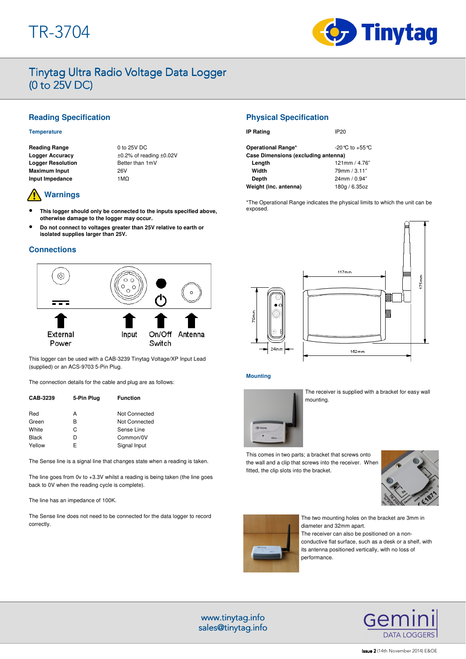

# **Reading Specification**

### **Temperature**

**Reading Range** 0 to 25V DC **Logger Resolution Better than 1mV Maximum Input**  26V **Input Impedance** 1MΩ

**Logger Accuracy** ±0.2% of reading ±0.02V

# **Warnings**

- **This logger should only be connected to the inputs specified above, otherwise damage to the logger may occur.**
- **Do not connect to voltages greater than 25V relative to earth or isolated supplies larger than 25V.**

## **Connections**



This logger can be used with a CAB-3239 Tinytag Voltage/XP Input Lead (supplied) or an ACS-9703 5-Pin Plug.

The connection details for the cable and plug are as follows:

| CAB-3239     | 5-Pin Plug | <b>Function</b> |
|--------------|------------|-----------------|
| Red          | А          | Not Connected   |
| Green        | R          | Not Connected   |
| White        | C          | Sense Line      |
| <b>Black</b> | D          | Common/0V       |
| Yellow       | F          | Signal Input    |

The Sense line is a signal line that changes state when a reading is taken.

The line goes from 0v to +3.3V whilst a reading is being taken (the line goes back to 0V when the reading cycle is complete).

The line has an impedance of 100K.

The Sense line does not need to be connected for the data logger to record correctly.

## **Physical Specification**

| <b>IP Rating</b>                    | IP20                               |  |  |
|-------------------------------------|------------------------------------|--|--|
| Operational Range*                  | $-20^{\circ}$ C to $+55^{\circ}$ C |  |  |
| Case Dimensions (excluding antenna) |                                    |  |  |
| Length                              | 121mm / 4.76"                      |  |  |
| Width                               | 79mm / 3.11"                       |  |  |
| Depth                               | 24mm/0.94"                         |  |  |
| Weight (inc. antenna)               | 180g / 6.35oz                      |  |  |

\*The Operational Range indicates the physical limits to which the unit can be exposed.



### **Mounting**



The receiver is supplied with a bracket for easy wall mounting.

This comes in two parts; a bracket that screws onto the wall and a clip that screws into the receiver. When fitted, the clip slots into the bracket.





The two mounting holes on the bracket are 3mm in diameter and 32mm apart. The receiver can also be positioned on a nonconductive flat surface, such as a desk or a shelf, with its antenna positioned vertically, with no loss of performance.

> Gen DATA LOGGERS

#### **Issue 2** (14th November 2014) E&OE

www.tinytag.info www.tinytag.info sales@tinytag.info